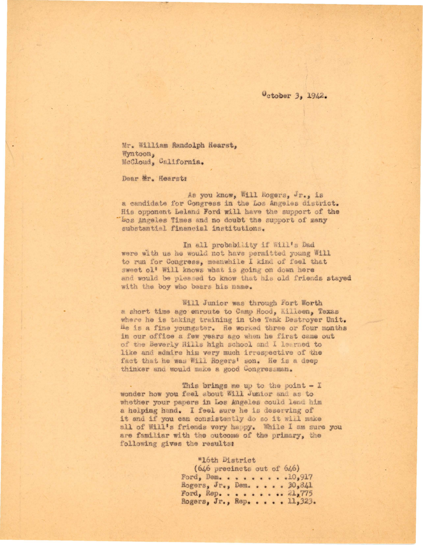October 3, 1942.

Mr. William Randolph Hearst, Wyntoon. McCloud, California.

Dear Mr. Hearst:

As you know, Will Rogers, Jr., is a candidate for Congress in the Los Angeles district. His opponent Leland Ford will have the support of the "Los Angeles Times and no doubt the support of many substantial financial institutions.

In all probability if Will's Dad were with us he would not have permitted young Will to run for Congress, meanwhile I kind of feel that sweet ol' Will knows what is going on down here and would be pleased to know that his old friends stayed with the boy who bears his name.

Will Junior was through Fort Worth a short time ago enroute to Camp Hood, Killeen, Texas where he is taking training in the Tank Destroyer Unit. He is a fine youngster. He worked three or four months in our office a few years ago when he first came out of the Beverly Hills high school and I learned to like and admire him very much irrespective of the fact that he was Will Rogers' son. He is a deep thinker and would make a good Congressman.

This brings me up to the point  $-1$ wonder how you feel about Will Junior and as to whether your papers in Los Angeles could lend him a helping hand. I feel sure he is deserving of it and if you can consistently do so it will make all of Will's friends very happy. While I am sure you are familiar with the outcome of the primary, the following gives the results:

## "16th District

 $(646$  precincts out of  $646)$ Ford, Dem. . . . . . . . . 10,917 Rogers, Jr., Dem. . . . . 30,841 Ford, Rep. . . . . . . .  $21,775$ Rogers, Jr., Rep. . . . . 11,323.